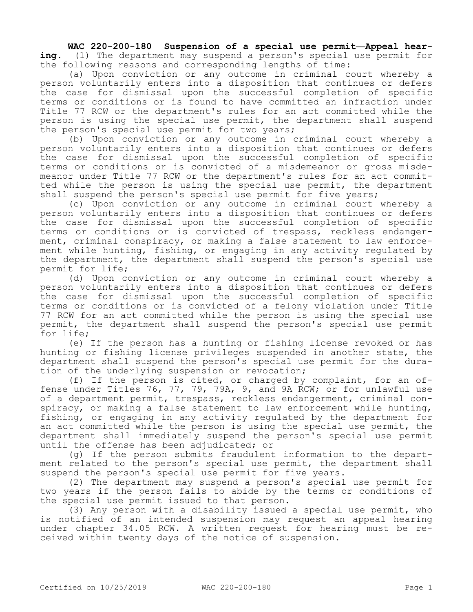**WAC 220-200-180 Suspension of a special use permit—Appeal hearing.** (1) The department may suspend a person's special use permit for the following reasons and corresponding lengths of time:

(a) Upon conviction or any outcome in criminal court whereby a person voluntarily enters into a disposition that continues or defers the case for dismissal upon the successful completion of specific terms or conditions or is found to have committed an infraction under Title 77 RCW or the department's rules for an act committed while the person is using the special use permit, the department shall suspend the person's special use permit for two years;

(b) Upon conviction or any outcome in criminal court whereby a person voluntarily enters into a disposition that continues or defers the case for dismissal upon the successful completion of specific terms or conditions or is convicted of a misdemeanor or gross misdemeanor under Title 77 RCW or the department's rules for an act committed while the person is using the special use permit, the department shall suspend the person's special use permit for five years;

(c) Upon conviction or any outcome in criminal court whereby a person voluntarily enters into a disposition that continues or defers the case for dismissal upon the successful completion of specific terms or conditions or is convicted of trespass, reckless endangerment, criminal conspiracy, or making a false statement to law enforcement while hunting, fishing, or engaging in any activity regulated by the department, the department shall suspend the person's special use permit for life;

(d) Upon conviction or any outcome in criminal court whereby a person voluntarily enters into a disposition that continues or defers the case for dismissal upon the successful completion of specific terms or conditions or is convicted of a felony violation under Title 77 RCW for an act committed while the person is using the special use permit, the department shall suspend the person's special use permit for life;

(e) If the person has a hunting or fishing license revoked or has hunting or fishing license privileges suspended in another state, the department shall suspend the person's special use permit for the duration of the underlying suspension or revocation;

(f) If the person is cited, or charged by complaint, for an offense under Titles 76, 77, 79, 79A, 9, and 9A RCW; or for unlawful use of a department permit, trespass, reckless endangerment, criminal conspiracy, or making a false statement to law enforcement while hunting, fishing, or engaging in any activity regulated by the department for an act committed while the person is using the special use permit, the department shall immediately suspend the person's special use permit until the offense has been adjudicated; or

(g) If the person submits fraudulent information to the department related to the person's special use permit, the department shall suspend the person's special use permit for five years.

(2) The department may suspend a person's special use permit for two years if the person fails to abide by the terms or conditions of the special use permit issued to that person.

(3) Any person with a disability issued a special use permit, who is notified of an intended suspension may request an appeal hearing under chapter 34.05 RCW. A written request for hearing must be received within twenty days of the notice of suspension.